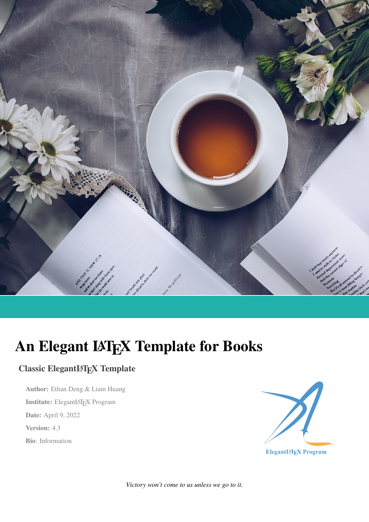

# **An Elegant LATEX Template for Books**

# **Classic ElegantLATEX Template**

**Author:** Ethan Deng & Liam Huang **Institute:** ElegantLATEX Program **Date:** April 9, 2022 **Version:** 4.3 **Bio**: Information



*Victory won't come to us unless we go to it.*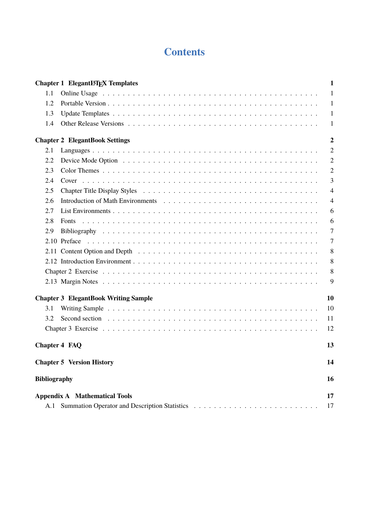# **Contents**

|                      | <b>Chapter 1 ElegantIATFX Templates</b>                                                                                                                                                                                       | 1              |
|----------------------|-------------------------------------------------------------------------------------------------------------------------------------------------------------------------------------------------------------------------------|----------------|
| 1.1                  |                                                                                                                                                                                                                               | 1              |
| 1.2                  |                                                                                                                                                                                                                               | 1              |
| 1.3                  |                                                                                                                                                                                                                               | 1              |
| 1.4                  |                                                                                                                                                                                                                               | 1              |
|                      |                                                                                                                                                                                                                               |                |
|                      | <b>Chapter 2 ElegantBook Settings</b>                                                                                                                                                                                         | $\overline{2}$ |
| 2.1                  |                                                                                                                                                                                                                               | 2              |
| 2.2                  |                                                                                                                                                                                                                               | $\overline{2}$ |
| 2.3                  |                                                                                                                                                                                                                               | $\overline{2}$ |
| 2.4                  |                                                                                                                                                                                                                               | 3              |
| 2.5                  |                                                                                                                                                                                                                               | $\overline{4}$ |
| 2.6                  |                                                                                                                                                                                                                               | 4              |
| 2.7                  |                                                                                                                                                                                                                               | 6              |
| 2.8                  | <b>Fonts</b>                                                                                                                                                                                                                  | 6              |
| 2.9                  |                                                                                                                                                                                                                               | $\tau$         |
|                      |                                                                                                                                                                                                                               | 7              |
|                      | 2.11 Content Option and Depth enterprise in the content of the Depth enterprise in the content of the content of the content of the content of the content of the content of the content of the content of the content of the | 8              |
|                      |                                                                                                                                                                                                                               | 8              |
|                      |                                                                                                                                                                                                                               | 8              |
|                      |                                                                                                                                                                                                                               | 9              |
|                      | <b>Chapter 3 ElegantBook Writing Sample</b>                                                                                                                                                                                   | 10             |
| 3.1                  |                                                                                                                                                                                                                               | 10             |
| 3.2                  |                                                                                                                                                                                                                               | 11             |
|                      |                                                                                                                                                                                                                               | 12             |
|                      |                                                                                                                                                                                                                               |                |
| <b>Chapter 4 FAQ</b> |                                                                                                                                                                                                                               | 13             |
|                      | <b>Chapter 5 Version History</b>                                                                                                                                                                                              | 14             |
| <b>Bibliography</b>  |                                                                                                                                                                                                                               | 16             |
|                      | <b>Appendix A</b> Mathematical Tools                                                                                                                                                                                          | 17             |
| A.1                  |                                                                                                                                                                                                                               | 17             |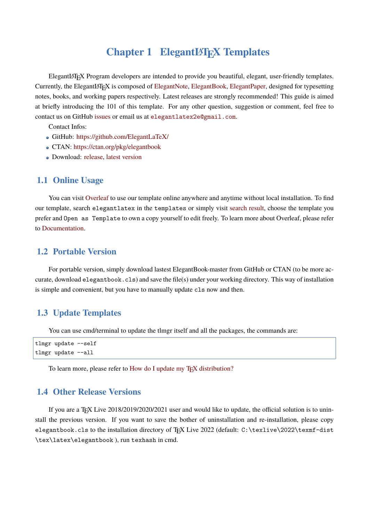## **Chapter 1 ElegantLAT<sub>E</sub>X Templates**

<span id="page-2-0"></span>ElegantLATEX Program developers are intended to provide you beautiful, elegant, user-friendly templates. Currently, the ElegantLAT<sub>EX</sub> is composed of ElegantNote, ElegantBook, ElegantPaper, designed for typesetting notes, books, and working papers respectively. Latest releases are strongly recommended! This guide is aimed at briefly introducing the 101 of this template. For any other question, suggestion or comment, feel free to contact us on GitHub issues or email us at e[legantlate](https://github.com/ElegantLaTeX/ElegantNote)[x2e@gmail.c](https://github.com/ElegantLaTeX/ElegantBook)[om](https://github.com/ElegantLaTeX/ElegantPaper).

Contact Infos:

- GitHub: https://github.com/ElegantLaTeX/
- CTAN: https://[ctan.org](https://github.com/ElegantLaTeX/ElegantBook/issues)/pkg/elegant[book](mailto:elegantlatex2e@gmail.com)
- Download: release, latest version

#### **1.1 Onli[ne Usage](https://ctan.org/pkg/elegantbook)**

<span id="page-2-1"></span>You can visit Overleaf to use our template online anywhere and anytime without local installation. To find our template, search elegantlatex in the templates or simply visit search result, choose the template you prefer and Open as Template to own a copy yourself to edit freely. To learn more about Overleaf, please refer to Documentation.

#### **1.2 [Portable](https://www.overleaf.com/learn) Version**

<span id="page-2-2"></span>For portable version, simply download lastest ElegantBook-master from GitHub or CTAN (to be more accurate, download elegantbook.cls) and save the file(s) under your working directory. This way of installation is simple and convenient, but you have to manually update cls now and then.

#### **1.3 Update Templates**

<span id="page-2-3"></span>You can use cmd/terminal to update the tlmgr itself and all the packages, the commands are:

```
tlmgr update --self
tlmgr update --all
```
To learn more, please refer to How do I update my T<sub>E</sub>X distribution?

#### **1.4 Other Release Versi[ons](https://tex.stackexchange.com/questions/55437/how-do-i-update-my-tex-distribution)**

<span id="page-2-4"></span>If you are a T<sub>E</sub>X Live 2018/2019/2020/2021 user and would like to update, the official solution is to uninstall the previous version. If you want to save the bother of uninstallation and re-installation, please copy elegantbook.cls to the installation directory of TFX Live 2022 (default: C:\texlive\2022\texmf-dist \tex\latex\elegantbook ), run texhash in cmd.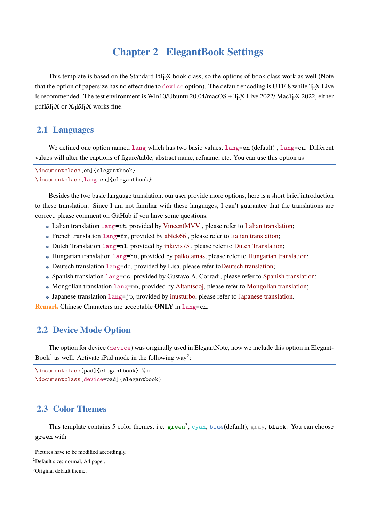### **Chapter 2 ElegantBook Settings**

<span id="page-3-0"></span>This template is based on the Standard LATEX book class, so the options of book class work as well (Note that the option of papersize has no effect due to device option). The default encoding is UTF-8 while T<sub>EX</sub> Live is recommended. The test environment is Win10/Ubuntu 20.04/macOS + TFX Live 2022/ MacTFX 2022, either pdfLATEX or XALATEX works fine.

#### **2.1 Languages**

<span id="page-3-1"></span>We defined one option named lang which has two basic values, lang=en (default), lang=cn. Different values will alter the captions of figure/table, abstract name, refname, etc. You can use this option as

```
\documentclass[en]{elegantbook}
\documentclass[lang=en]{elegantbook}
```
Besides the two basic language translation, our user provide more options, here is a short brief introduction to these translation. Since I am not familiar with these languages, I can't guarantee that the translations are correct, please comment on GitHub if you have some questions.

- Italian translation lang=it, provided by VincentMVV , please refer to Italian translation;
- French translation  $\text{lang}=\text{fr}$ , provided by abfek66, please refer to Italian translation;
- Dutch Translation lang=nl, provided by inktvis75 , please refer to Dutch Translation;
- [Hungarian transl](https://github.com/ElegantLaTeX/ElegantBook/issues/85)ation  $\text{lang}=h\mathbf{u}$ , provided by [palkotama](https://github.com/VincentMVV)s, please refer to Hungarian translation;
- Deutsch translation lang=de, provided b[y Lisa, p](https://github.com/abfek66)lease refer toDe[utsch translation;](https://github.com/ElegantLaTeX/ElegantBook/issues/85)
- Spanish translation lang=es, provided b[y Gustavo](https://github.com/inktvis75) A. Corradi, ple[ase refer to](https://github.com/ElegantLaTeX/ElegantBook/issues/108) Spanish translation;
- [Mongolian translation](https://github.com/ElegantLaTeX/ElegantBook/issues/111)  $l$  ang=mn, provided by [Altantsooj,](https://github.com/palkotamas) please refer to Mongolian translation;
- Japanese translation lang=jp, provided by inusturbo, please refer to [Japanese tran](https://github.com/ElegantLaTeX/ElegantBook/issues/113)slation.

**Remark** Chinese Characters are acceptable **ONLY** in lang=cn.

#### **2.2 Device Mode Option**

<span id="page-3-2"></span>The option for device (device) was originally used in ElegantNote, now we include this option in Elegant-Book<sup>1</sup> as well. Activate iPad mode in the following way<sup>2</sup>:

```
\documentclass[pad]{elegantbook} %or
\documentclass[device=pad]{elegantbook}
```
#### **2.3 Color Themes**

<span id="page-3-3"></span>This template contains 5 color themes, i.e. green<sup>3</sup>, cyan, blue(default), gray, black. You can choose green with

<sup>&</sup>lt;sup>1</sup>Pictures have to be modified accordingly.

 ${}^{2}$ Default size: normal, A4 paper.

<sup>&</sup>lt;sup>3</sup>Original default theme.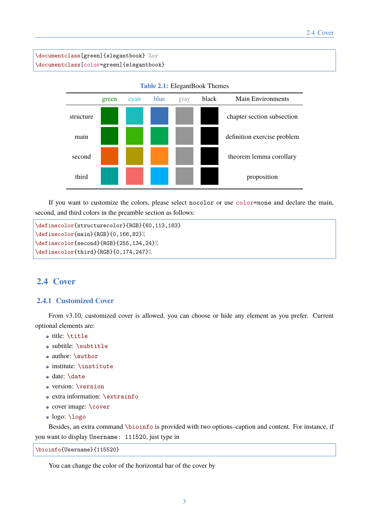\documentclass[green]{elegantbook} %or \documentclass[color=green]{elegantbook}



**Table 2.1:** ElegantBook Themes

If you want to customize the colors, please select nocolor or use color=none and declare the main, second, and third colors in the preamble section as follows:

```
\definecolor{structurecolor}{RGB}{60,113,183}
\definecolor{main}{RGB}{0,166,82}%
\definecolor{second}{RGB}{255,134,24}%
\definecolor{third}{RGB}{0,174,247}%
```
#### <span id="page-4-0"></span>**2.4 Cover**

#### **2.4.1 Customized Cover**

From v3.10, customized cover is allowed, you can choose or hide any element as you prefer. Current optional elements are:

- title: \title
- subtitle: \subtitle
- author: \author
- institute: \institute
- date: \date
- version: \version
- extra information: \extrainfo
- cover image: \cover
- logo: \logo

Besides, an extra command \bioinfo is provided with two options–caption and content. For instance, if you want to display Username: 111520, just type in

\bioinfo{Username}{115520}

You can change the color of the horizontal bar of the cover by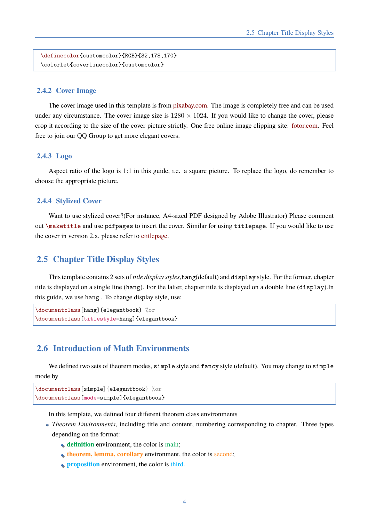```
\definecolor{customcolor}{RGB}{32,178,170}
\colorlet{coverlinecolor}{customcolor}
```
#### **2.4.2 Cover Image**

The cover image used in this template is from pixabay.com. The image is completely free and can be used under any circumstance. The cover image size is  $1280 \times 1024$ . If you would like to change the cover, please crop it according to the size of the cover picture strictly. One free online image clipping site: fotor.com. Feel free to join our QQ Group to get more elegant cov[ers.](https://pixabay.com/en/tea-time-poetry-coffee-reading-3240766/)

#### **2.4.3 Logo**

Aspect ratio of the logo is 1:1 in this guide, i.e. a square picture. To replace the logo, do remember to choose the appropriate picture.

#### **2.4.4 Stylized Cover**

Want to use stylized cover?(For instance, A4-sized PDF designed by Adobe Illustrator) Please comment out \maketitle and use pdfpages to insert the cover. Similar for using titlepage. If you would like to use the cover in version 2.x, please refer to etitlepage.

#### **2.5 Chapter Title Display [Styles](https://github.com/EthanDeng/etitlepage)**

<span id="page-5-0"></span>This template contains 2 sets of *title display styles*,hang(default) and display style. For the former, chapter title is displayed on a single line (hang). For the latter, chapter title is displayed on a double line (display).In this guide, we use hang . To change display style, use:

```
\documentclass[hang]{elegantbook} %or
\documentclass[titlestyle=hang]{elegantbook}
```
#### **2.6 Introduction of Math Environments**

<span id="page-5-1"></span>We defined two sets of theorem modes, simple style and fancy style (default). You may change to simple mode by

```
\documentclass[simple]{elegantbook} %or
\documentclass[mode=simple]{elegantbook}
```
In this template, we defined four different theorem class environments

- *Theorem Environments*, including title and content, numbering corresponding to chapter. Three types depending on the format:
	- **definition** environment, the color is main;
	- **theorem, lemma, corollary** environment, the color is second;
	- **proposition** environment, the color is third.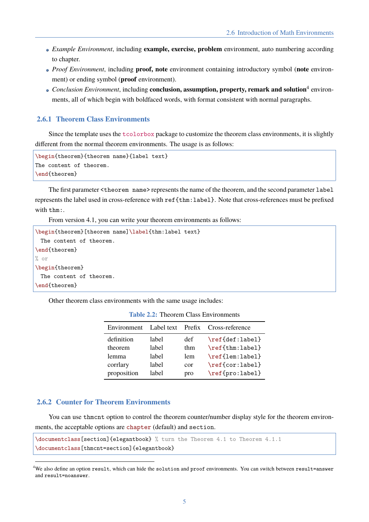- *Example Environment*, including **example, exercise, problem** environment, auto numbering according to chapter.
- *Proof Environment*, including **proof, note** environment containing introductory symbol (**note** environment) or ending symbol (**proof** environment).
- Conclusion Environment, including **conclusion, assumption, property, remark and solution**<sup>4</sup> environments, all of which begin with boldfaced words, with format consistent with normal paragraphs.

#### **2.6.1 Theorem Class Environments**

Since the template uses the tcolorbox package to customize the theorem class environments, it is slightly different from the normal theorem environments. The usage is as follows:

```
\begin{theorem}{theorem name}{label text}
The content of theorem.
\end{theorem}
```
The first parameter  $\leq$  theorem name> represents the name of the theorem, and the second parameter label represents the label used in cross-reference with ref{thm:label}. Note that cross-references must be prefixed with thm:.

From version 4.1, you can write your theorem environments as follows:

```
\begin{theorem}[theorem name]\label{thm:label text}
 The content of theorem.
\end{theorem}
% or
\begin{theorem}
 The content of theorem.
\end{theorem}
```
Other theorem class environments with the same usage includes:

| Environment | Label text | Prefix | Cross-reference |
|-------------|------------|--------|-----------------|
| definition  | label      | def    | \ref{def:label} |
| theorem     | label      | thm    | \ref{thm:label} |
| lemma       | label      | lem    | \ref{lem:label} |
| corrlary    | label      | cor    | \ref{cor:label} |
| proposition | lahel      | pro    | \ref{pro:label} |

**Table 2.2:** Theorem Class Environments

#### **2.6.2 Counter for Theorem Environments**

You can use thmcnt option to control the theorem counter/number display style for the theorem environments, the acceptable options are chapter (default) and section.

```
\documentclass[section]{elegantbook} % turn the Theorem 4.1 to Theorem 4.1.1
\documentclass[thmcnt=section]{elegantbook}
```
 $4$ We also define an option result, which can hide the solution and proof environments. You can switch between result=answer and result=noanswer.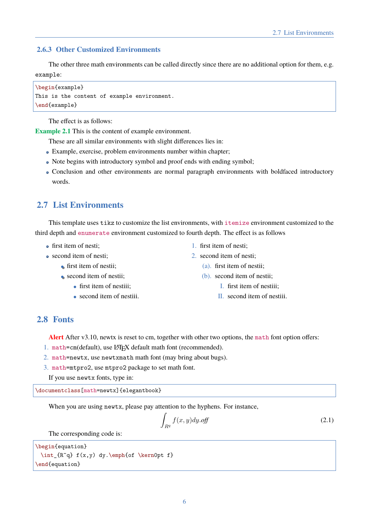#### **2.6.3 Other Customized Environments**

The other three math environments can be called directly since there are no additional option for them, e.g. example:

\begin{example} This is the content of example environment. \end{example}

The effect is as follows:

**Example 2.1** This is the content of example environment.

- These are all similar environments with slight differences lies in:
- Example, exercise, problem environments number within chapter;
- Note begins with introductory symbol and proof ends with ending symbol;
- Conclusion and other environments are normal paragraph environments with boldfaced introductory words.

#### <span id="page-7-0"></span>**2.7 List Environments**

This template uses tikz to customize the list environments, with itemize environment customized to the third depth and enumerate environment customized to fourth depth. The effect is as follows

- **o** first item of nesti:
- second item of nesti:
	- first item of nestii;
	- second item of nestii;
		- $\bullet$  first item of nestiii;
		- second item of nestiii.
- 1. first item of nesti;
- 2. second item of nesti;
	- (a). first item of nestii;
	- (b). second item of nestii;
		- I. first item of nestiii;
		- II. second item of nestiii.

#### <span id="page-7-1"></span>**2.8 Fonts**

**Alert** After v3.10, newtx is reset to cm, together with other two options, the math font option offers:

- 1. math=cm(default), use LATEX default math font (recommended).
- 2. math=newtx, use newtxmath math font (may bring about bugs).
- 3. math=mtpro2, use mtpro2 package to set math font.

```
If you use newtx fonts, type in:
```
\documentclass[math=newtx]{elegantbook}

When you are using newtx, please pay attention to the hyphens. For instance,

$$
\int_{R^q} f(x, y) dy. off \tag{2.1}
$$

The corresponding code is:

```
\begin{equation}
 \int_{R^q} f(x,y) dy. \emptyset (x emph{of \kern0pt f}
\end{equation}
```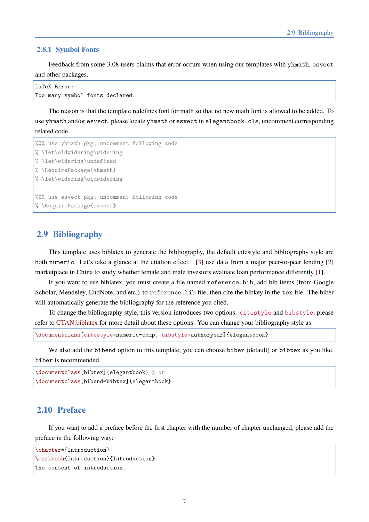#### **2.8.1 Symbol Fonts**

Feedback from some 3.08 users claims that error occurs when using our templates with yhmath, esvect and other packages.

```
LaTeX Error:
Too many symbol fonts declared.
```
The reason is that the template redefines font for math so that no new math font is allowed to be added. To use yhmath and/or esvect, please locate yhmath or esvect in elegantbook.cls, uncomment corresponding related code.

```
%%% use yhmath pkg, uncomment following code
% \let\oldwidering\widering
% \let\widering\undefined
% \RequirePackage{yhmath}
% \let\widering\oldwidering
%%% use esvect pkg, uncomment following code
% \RequirePackage{esvect}
```
#### **2.9 Bibliography**

<span id="page-8-0"></span>This template uses biblatex to generate the bibliography, the default citestyle and bibliography style are both numeric. Let's take a glance at the citation effect. [3] use data from a major peer-to-peer lending [2] marketplace in China to study whether female and male investors evaluate loan performance differently [1].

If you want to use biblatex, you must create a file named reference.bib, add bib items (from Google Scholar, Mendeley, EndNote, and etc.) to reference. bib [fil](#page-17-1)e, then cite the bibkey in the tex file. The bi[ber](#page-17-2) will automatically generate the bibliography for the reference you cited.

To change the bibliography style, this version introduces two options: citestyle and bibstyle, please refer to CTAN:biblatex for more detail about these options. You can change your bibliography style as

\documentclass[citestyle=numeric-comp, bibstyle=authoryear]{elegantbook}

W[e also add the](https://ctan.org/pkg/biblatex) bibend option to this template, you can choose biber (default) or bibtex as you like, biber is recommended.

```
\documentclass[bibtex]{elegantbook} % or
\documentclass[bibend=bibtex]{elegantbook}
```
#### **2.10 Preface**

<span id="page-8-1"></span>If you want to add a preface before the first chapter with the number of chapter unchanged, please add the preface in the following way:

```
\chapter*{Introduction}
\markboth{Introduction}{Introduction}
The content of introduction.
```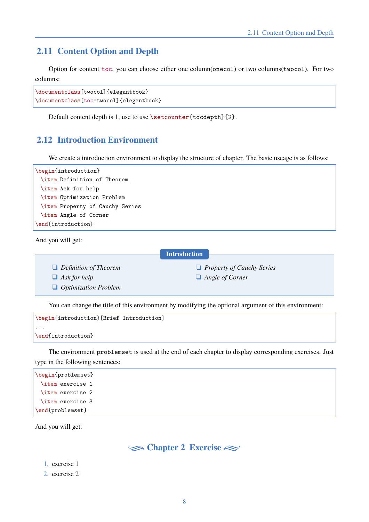#### **2.11 Content Option and Depth**

Option for content toc, you can choose either one column(onecol) or two columns(twocol). For two columns:

```
\documentclass[twocol]{elegantbook}
\documentclass[toc=twocol]{elegantbook}
```
<span id="page-9-0"></span>Default content depth is 1, use to use \setcounter{tocdepth}{2}.

#### **2.12 Introduction Environment**

We create a introduction environment to display the structure of chapter. The basic useage is as follows:

| \begin{introduction}            |  |  |  |  |  |
|---------------------------------|--|--|--|--|--|
| \item Definition of Theorem     |  |  |  |  |  |
| \item Ask for help              |  |  |  |  |  |
| \item Optimization Problem      |  |  |  |  |  |
| \item Property of Cauchy Series |  |  |  |  |  |
| \item Angle of Corner           |  |  |  |  |  |
| \end{introduction}              |  |  |  |  |  |

And you will get:

```
Introduction
```
**h** *Definition of Theorem* 

**Ask for help** 

 $\Box$  *Optimization Problem* 

*Angle of Corner* 

**h** *Property of Cauchy Series* 

You can change the title of this environment by modifying the optional argument of this environment:

```
\begin{introduction}[Brief Introduction]
...
\end{introduction}
```
The environment problemset is used at the end of each chapter to display corresponding exercises. Just type in the following sentences:

```
\begin{problemset}
 \item exercise 1
 \item exercise 2
 \item exercise 3
\end{problemset}
```
<span id="page-9-1"></span>And you will get:



- 1. exercise 1
- 2. exercise 2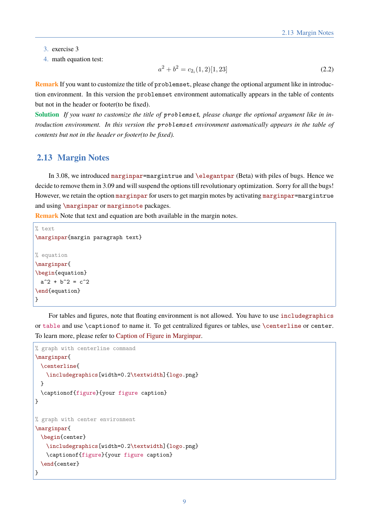- 3. exercise 3
- 4. math equation test:

$$
a^2 + b^2 = c_{2_i}(1,2)[1,23] \tag{2.2}
$$

**Remark** If you want to customize the title of problemset, please change the optional argument like in introduction environment. In this version the problemset environment automatically appears in the table of contents but not in the header or footer(to be fixed).

**Solution** *If you want to customize the title of problemset, please change the optional argument like in introduction environment. In this version the problemset environment automatically appears in the table of contents but not in the header or footer(to be fixed).*

#### **2.13 Margin Notes**

<span id="page-10-0"></span>In 3.08, we introduced marginpar=margintrue and \elegantpar (Beta) with piles of bugs. Hence we decide to remove them in 3.09 and will suspend the options till revolutionary optimization. Sorry for all the bugs! However, we retain the option marginpar for users to get margin motes by activating marginpar=margintrue and using \marginpar or marginnote packages.

**Remark** Note that text and equation are both available in the margin notes.

```
% text
\marginpar{margin paragraph text}
% equation
\marginpar{
\begin{equation}
 a^2 + b^2 = c^2\end{equation}
}
```
For tables and figures, note that floating environment is not allowed. You have to use includegraphics or table and use \captionof to name it. To get centralized figures or tables, use \centerline or center. To learn more, please refer to Caption of Figure in Marginpar.

```
% graph with centerline command
\marginpar{
 \centerline{
   \includegraphics[width=0.2\textwidth]{logo.png}
 }
 \captionof{figure}{your figure caption}
}
% graph with center environment
\marginpar{
 \begin{center}
   \includegraphics[width=0.2\textwidth]{logo.png}
   \captionof{figure}{your figure caption}
 \end{center}
}
```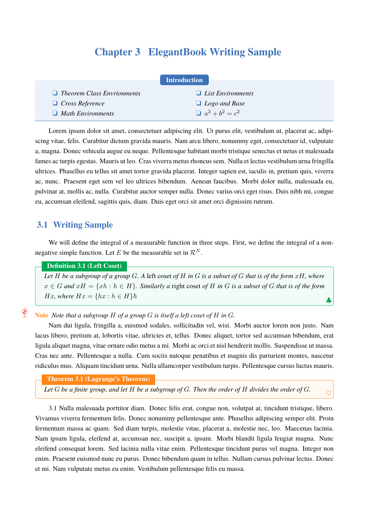# **Chapter 3 ElegantBook Writing Sample**

<span id="page-11-0"></span>

| <b>Introduction</b>               |                          |  |  |  |  |
|-----------------------------------|--------------------------|--|--|--|--|
| $\Box$ Theorem Class Envrionments | $\Box$ List Environments |  |  |  |  |
| $\Box$ Cross Reference            | $\Box$ Logo and Base     |  |  |  |  |
| $\Box$ Math Environments          | $a^2 + b^2 = c^2$        |  |  |  |  |

Lorem ipsum dolor sit amet, consectetuer adipiscing elit. Ut purus elit, vestibulum ut, placerat ac, adipiscing vitae, felis. Curabitur dictum gravida mauris. Nam arcu libero, nonummy eget, consectetuer id, vulputate a, magna. Donec vehicula augue eu neque. Pellentesque habitant morbi tristique senectus et netus et malesuada fames ac turpis egestas. Mauris ut leo. Cras viverra metus rhoncus sem. Nulla et lectus vestibulum urna fringilla ultrices. Phasellus eu tellus sit amet tortor gravida placerat. Integer sapien est, iaculis in, pretium quis, viverra ac, nunc. Praesent eget sem vel leo ultrices bibendum. Aenean faucibus. Morbi dolor nulla, malesuada eu, pulvinar at, mollis ac, nulla. Curabitur auctor semper nulla. Donec varius orci eget risus. Duis nibh mi, congue eu, accumsan eleifend, sagittis quis, diam. Duis eget orci sit amet orci dignissim rutrum.

#### **3.1 Writing Sample**

 $\hat{\bm{\hat{\epsilon}}}$ 

<span id="page-11-1"></span>We will define the integral of a measurable function in three steps. First, we define the integral of a nonnegative simple function. Let *E* be the measurable set in  $\mathcal{R}^N$ .

#### **Definition 3.1 (Left Coset)**

*Let H be a subgroup of a group G. A* left coset *of H in G is a subset of G that is of the form xH, where*  $x \in G$  and  $xH = \{xh : h \in H\}$ . Similarly a right coset of H in G is a subset of G that is of the form  $Hx$ *, where*  $Hx = \{hx : h \in H\}$  $\hbar$ 

*♣*

*♡*

**Note** *Note that a subgroup H of a group G is itself a left coset of H in G.*

Nam dui ligula, fringilla a, euismod sodales, sollicitudin vel, wisi. Morbi auctor lorem non justo. Nam lacus libero, pretium at, lobortis vitae, ultricies et, tellus. Donec aliquet, tortor sed accumsan bibendum, erat ligula aliquet magna, vitae ornare odio metus a mi. Morbi ac orci et nisl hendrerit mollis. Suspendisse ut massa. Cras nec ante. Pellentesque a nulla. Cum sociis natoque penatibus et magnis dis parturient montes, nascetur ridiculus mus. Aliquam tincidunt urna. Nulla ullamcorper vestibulum turpis. Pellentesque cursus luctus mauris.

#### **Theorem 3.1 (Lagrange's Theorem)**

*Let G be a finite group, and let H be a subgroup of G. Then the order of H divides the order of G.*

<span id="page-11-2"></span>3.1 Nulla malesuada porttitor diam. Donec felis erat, congue non, volutpat at, tincidunt tristique, libero. Vivamus viverra fermentum felis. Donec nonummy pellentesque ante. Phasellus adipiscing semper elit. Proin fermentum massa ac quam. Sed diam turpis, molestie vitae, placerat a, molestie nec, leo. Maecenas lacinia. Nam [ips](#page-11-2)um ligula, eleifend at, accumsan nec, suscipit a, ipsum. Morbi blandit ligula feugiat magna. Nunc eleifend consequat lorem. Sed lacinia nulla vitae enim. Pellentesque tincidunt purus vel magna. Integer non enim. Praesent euismod nunc eu purus. Donec bibendum quam in tellus. Nullam cursus pulvinar lectus. Donec et mi. Nam vulputate metus eu enim. Vestibulum pellentesque felis eu massa.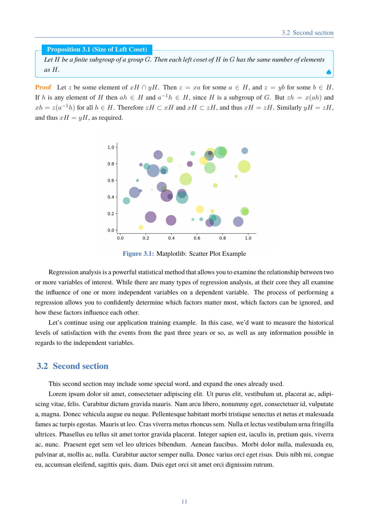*♠*

**Proposition 3.1 (Size of Left Coset)**

*Let H be a finite subgroup of a group G. Then each left coset of H in G has the same number of elements as H.*

**Proof** Let *z* be some element of  $xH \cap yH$ . Then  $z = xa$  for some  $a \in H$ , and  $z = yb$  for some  $b \in H$ . If *h* is any element of *H* then  $ah \in H$  and  $a^{-1}h \in H$ , since *H* is a subgroup of *G*. But  $zh = x(ah)$  and *xh* =  $z(a^{-1}h)$  for all *h* ∈ *H*. Therefore  $zH$  ⊂ *xH* and  $xH$  ⊂  $zH$ , and thus  $xH = zH$ . Similarly  $yH = zH$ , and thus  $xH = yH$ , as required.



**Figure 3.1:** Matplotlib: Scatter Plot Example

Regression analysis is a powerful statistical method that allows you to examine the relationship between two or more variables of interest. While there are many types of regression analysis, at their core they all examine the influence of one or more independent variables on a dependent variable. The process of performing a regression allows you to confidently determine which factors matter most, which factors can be ignored, and how these factors influence each other.

Let's continue using our application training example. In this case, we'd want to measure the historical levels of satisfaction with the events from the past three years or so, as well as any information possible in regards to the independent variables.

#### <span id="page-12-0"></span>**3.2 Second section**

This second section may include some special word, and expand the ones already used.

Lorem ipsum dolor sit amet, consectetuer adipiscing elit. Ut purus elit, vestibulum ut, placerat ac, adipiscing vitae, felis. Curabitur dictum gravida mauris. Nam arcu libero, nonummy eget, consectetuer id, vulputate a, magna. Donec vehicula augue eu neque. Pellentesque habitant morbi tristique senectus et netus et malesuada fames ac turpis egestas. Mauris ut leo. Cras viverra metus rhoncus sem. Nulla et lectus vestibulum urna fringilla ultrices. Phasellus eu tellus sit amet tortor gravida placerat. Integer sapien est, iaculis in, pretium quis, viverra ac, nunc. Praesent eget sem vel leo ultrices bibendum. Aenean faucibus. Morbi dolor nulla, malesuada eu, pulvinar at, mollis ac, nulla. Curabitur auctor semper nulla. Donec varius orci eget risus. Duis nibh mi, congue eu, accumsan eleifend, sagittis quis, diam. Duis eget orci sit amet orci dignissim rutrum.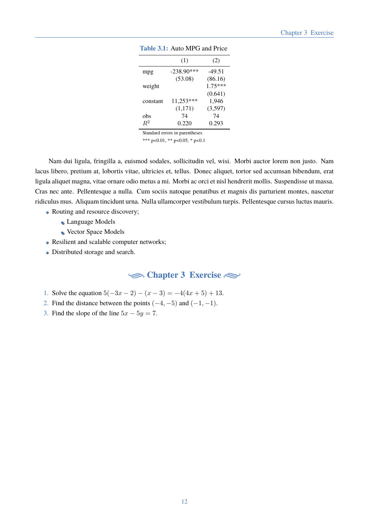|          | (1)          | (2)       |
|----------|--------------|-----------|
| mpg      | $-238.90***$ | $-49.51$  |
|          | (53.08)      | (86.16)   |
| weight   |              | $1.75***$ |
|          |              | (0.641)   |
| constant | $11,253***$  | 1,946     |
|          | (1,171)      | (3,597)   |
| obs      | 74           | 74        |
| $R^2$    | 0.220        | 0.293     |
|          |              |           |

| <b>Table 3.1:</b> Auto MPG and Price |  |
|--------------------------------------|--|
|                                      |  |

Standard errors in parentheses

\*\*\* p<0.01, \*\* p<0.05, \* p<0.1

Nam dui ligula, fringilla a, euismod sodales, sollicitudin vel, wisi. Morbi auctor lorem non justo. Nam lacus libero, pretium at, lobortis vitae, ultricies et, tellus. Donec aliquet, tortor sed accumsan bibendum, erat ligula aliquet magna, vitae ornare odio metus a mi. Morbi ac orci et nisl hendrerit mollis. Suspendisse ut massa. Cras nec ante. Pellentesque a nulla. Cum sociis natoque penatibus et magnis dis parturient montes, nascetur ridiculus mus. Aliquam tincidunt urna. Nulla ullamcorper vestibulum turpis. Pellentesque cursus luctus mauris.

- Routing and resource discovery;
	- Language Models
	- Vector Space Models
- Resilient and scalable computer networks;
- <span id="page-13-0"></span>Distributed storage and search.

**Exercise** 

- 1. Solve the equation  $5(-3x 2) (x 3) = -4(4x + 5) + 13$ .
- 2. Find the distance between the points  $(-4, -5)$  and  $(-1, -1)$ .
- 3. Find the slope of the line  $5x 5y = 7$ .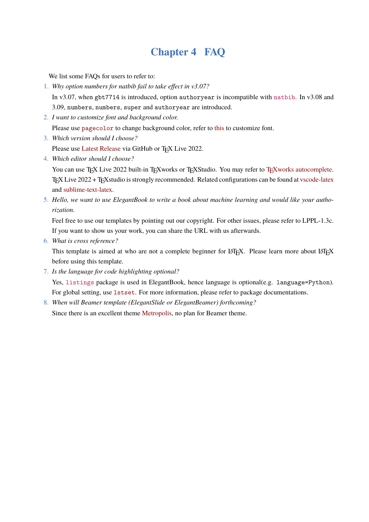# **Chapter 4 FAQ**

We list some FAQs for users to refer to:

- <span id="page-14-0"></span>1. *Why option numbers for natbib fail to take effect in v3.07?* In v3.07, when gbt7714 is introduced, option authoryear is incompatible with natbib. In v3.08 and 3.09, numbers, numbers, super and authoryear are introduced.
- 2. *I want to customize font and background color.*

Please use pagecolor to change background color, refer to this to customize font.

3. *Which version should I choose?*

Please use Latest Release via GitHub or TEX Live 2022.

4. *Which editor should I choose?*

You can use TEX Live 2022 built-in TEXworks or TEXStudio. You may refer to TEXworks autocomplete. TEX Live 2022 + TEX studio is strongly recommended. Related configurations can be found at vscode-latex and sublime-text-latex.

5. *Hello, we want to use ElegantBook to write a book about machine learning a[nd would like your autho](https://github.com/EthanDeng/texworks-autocomplete)rization.*

Fee[l free to use our tem](https://github.com/EthanDeng/sublime-text-latex)plates by pointing out our copyright. For other issues, please refer to LPPL-1.3c. If you want to show us your work, you can share the URL with us afterwards.

6. *What is cross reference?*

This template is aimed at who are not a complete beginner for LATEX. Please learn more about LATEX before using this template.

7. *Is the language for code highlighting optional?*

Yes, listings package is used in ElegantBook, hence language is optional(e.g. language=Python). For global setting, use lstset. For more information, please refer to package documentations.

8. *When will Beamer template (ElegantSlide or ElegantBeamer) forthcoming?* Since there is an excellent theme Metropolis, no plan for Beamer theme.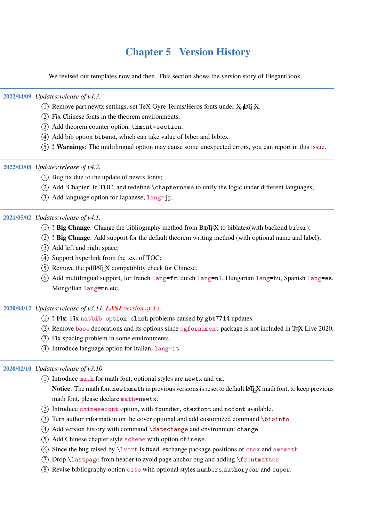# **Chapter 5 Version History**

<span id="page-15-0"></span>We revised our templates now and then. This section shows the version story of ElegantBook.

#### **2022/04/09** *Updates:release of v4.3.*

- $(1)$  Remove part newtx settings, set TeX Gyre Terms/Heros fonts under X $\exists$ LATEX.
- 2 Fix Chinese fonts in the theorem environments.
- 3 Add theorem counter option, thmcnt=section.
- 4 Add bib option bibend, which can take value of biber and bibtex.
- 5 **! Warnings**: The multilingual option may cause some unexpected errors, you can report in this issue.

#### **2022/03/08** *Updates:release of v4.2.*

- $(1)$  Bug fix due to the update of newtx fonts;
- 2 Add 'Chapter' in TOC, and redefine \chaptername to unify the logic under different languages;
- 3 Add language option for Japanese, lang=jp.

#### **2021/05/02** *Updates:release of v4.1.*

- 1 **! Big Change**: Change the bibliography method from BIBTEX to biblatex(with backend biber);
- 2 **! Big Change**: Add support for the default theorem writing method (with optional name and label);
- 3 Add left and right space;
- $(4)$  Support hyperlink from the text of TOC;
- $(5)$  Remove the pdfIAT<sub>F</sub>X compatiblity check for Chinese.
- $\overline{6}$  Add multilingual support, for french lang=fr, dutch lang=nl, Hungarian lang=hu, Spanish lang=es, Mongolian lang=mn etc.

#### **2020/04/12** *Updates:release of v3.11, LAST version of 3.x.*

- 1 **! Fix**: Fix natbib option clash problems caused by gbt7714 updates.
- $(2)$  Remove base decorations and its options since pgfornament package is not included in T<sub>E</sub>X Live 2020.
- 3 Fix spacing problem in some environments.
- $\overline{4}$  Introduce language option for Italian, lang=it.

#### **2020/02/10** *Updates:release of v3.10*

- 1 Introduce math for math font, optional styles are newtx and cm. Notice: The math font newtxmath in previous versions is reset to default LAT<sub>E</sub>X math font, to keep previous math font, please declare math=newtx.
- 2 Introduce chinesefont option, with founder, ctexfont and nofont available.
- $\overline{3}$  Turn author information on the cover optional and add customized command \bioinfo.
- $(4)$  Add version history with command \datechange and environment change.
- 5 Add Chinese chapter style scheme with option chinese.
- 6 Since the bug raised by \lvert is fixed, exchange package positions of ctex and amsmath.
- 7 Drop \lastpage from header to avoid page anchor bug and adding \frontmatter.
- 8 Revise bibliography option cite with optional styles numbers,authoryear and super.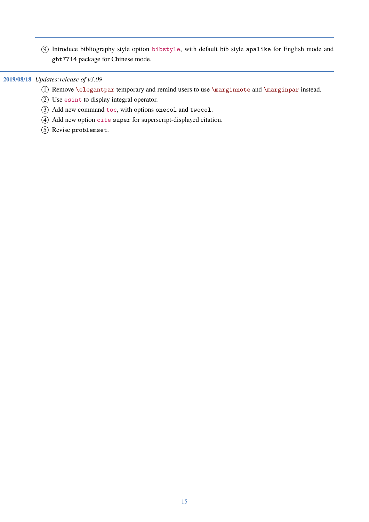Introduce bibliography style option bibstyle, with default bib style apalike for English mode and gbt7714 package for Chinese mode.

#### **2019/08/18** *Updates:release of v3.09*

- Remove \elegantpar temporary and remind users to use \marginnote and \marginpar instead.
- Use esint to display integral operator.
- Add new command toc, with options onecol and twocol.
- Add new option cite super for superscript-displayed citation.
- Revise problemset.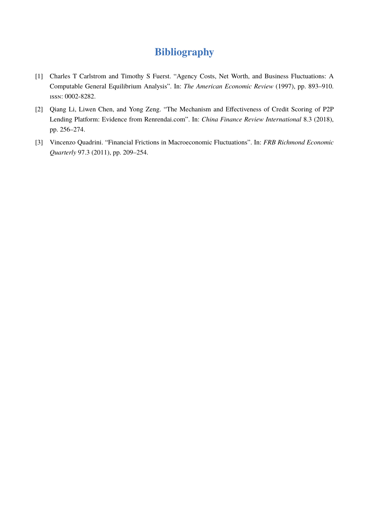# **Bibliography**

- <span id="page-17-0"></span>[1] Charles T Carlstrom and Timothy S Fuerst. "Agency Costs, Net Worth, and Business Fluctuations: A Computable General Equilibrium Analysis". In: *The American Economic Review* (1997), pp. 893–910. ISSN: 0002-8282.
- <span id="page-17-2"></span>[2] Qiang Li, Liwen Chen, and Yong Zeng. "The Mechanism and Effectiveness of Credit Scoring of P2P Lending Platform: Evidence from Renrendai.com". In: *China Finance Review International* 8.3 (2018), pp. 256–274.
- <span id="page-17-1"></span>[3] Vincenzo Quadrini. "Financial Frictions in Macroeconomic Fluctuations". In: *FRB Richmond Economic Quarterly* 97.3 (2011), pp. 209–254.